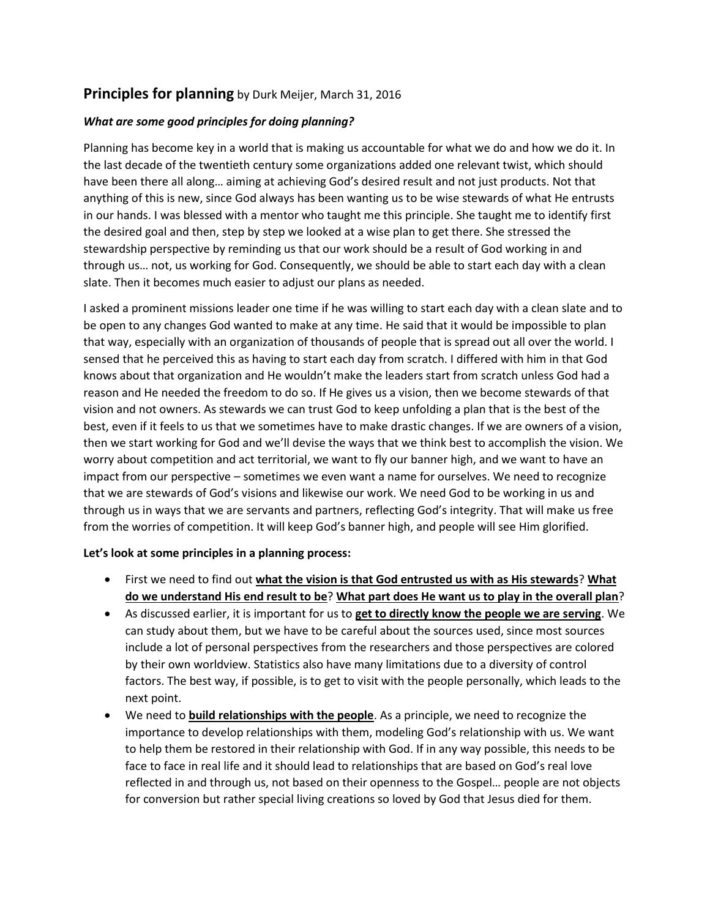## **Principles for planning** by Durk Meijer, March 31, 2016

## *What are some good principles for doing planning?*

Planning has become key in a world that is making us accountable for what we do and how we do it. In the last decade of the twentieth century some organizations added one relevant twist, which should have been there all along… aiming at achieving God's desired result and not just products. Not that anything of this is new, since God always has been wanting us to be wise stewards of what He entrusts in our hands. I was blessed with a mentor who taught me this principle. She taught me to identify first the desired goal and then, step by step we looked at a wise plan to get there. She stressed the stewardship perspective by reminding us that our work should be a result of God working in and through us… not, us working for God. Consequently, we should be able to start each day with a clean slate. Then it becomes much easier to adjust our plans as needed.

I asked a prominent missions leader one time if he was willing to start each day with a clean slate and to be open to any changes God wanted to make at any time. He said that it would be impossible to plan that way, especially with an organization of thousands of people that is spread out all over the world. I sensed that he perceived this as having to start each day from scratch. I differed with him in that God knows about that organization and He wouldn't make the leaders start from scratch unless God had a reason and He needed the freedom to do so. If He gives us a vision, then we become stewards of that vision and not owners. As stewards we can trust God to keep unfolding a plan that is the best of the best, even if it feels to us that we sometimes have to make drastic changes. If we are owners of a vision, then we start working for God and we'll devise the ways that we think best to accomplish the vision. We worry about competition and act territorial, we want to fly our banner high, and we want to have an impact from our perspective – sometimes we even want a name for ourselves. We need to recognize that we are stewards of God's visions and likewise our work. We need God to be working in us and through us in ways that we are servants and partners, reflecting God's integrity. That will make us free from the worries of competition. It will keep God's banner high, and people will see Him glorified.

## **Let's look at some principles in a planning process:**

- First we need to find out **what the vision is that God entrusted us with as His stewards**? **What do we understand His end result to be**? **What part does He want us to play in the overall plan**?
- As discussed earlier, it is important for us to **get to directly know the people we are serving**. We can study about them, but we have to be careful about the sources used, since most sources include a lot of personal perspectives from the researchers and those perspectives are colored by their own worldview. Statistics also have many limitations due to a diversity of control factors. The best way, if possible, is to get to visit with the people personally, which leads to the next point.
- We need to **build relationships with the people**. As a principle, we need to recognize the importance to develop relationships with them, modeling God's relationship with us. We want to help them be restored in their relationship with God. If in any way possible, this needs to be face to face in real life and it should lead to relationships that are based on God's real love reflected in and through us, not based on their openness to the Gospel… people are not objects for conversion but rather special living creations so loved by God that Jesus died for them.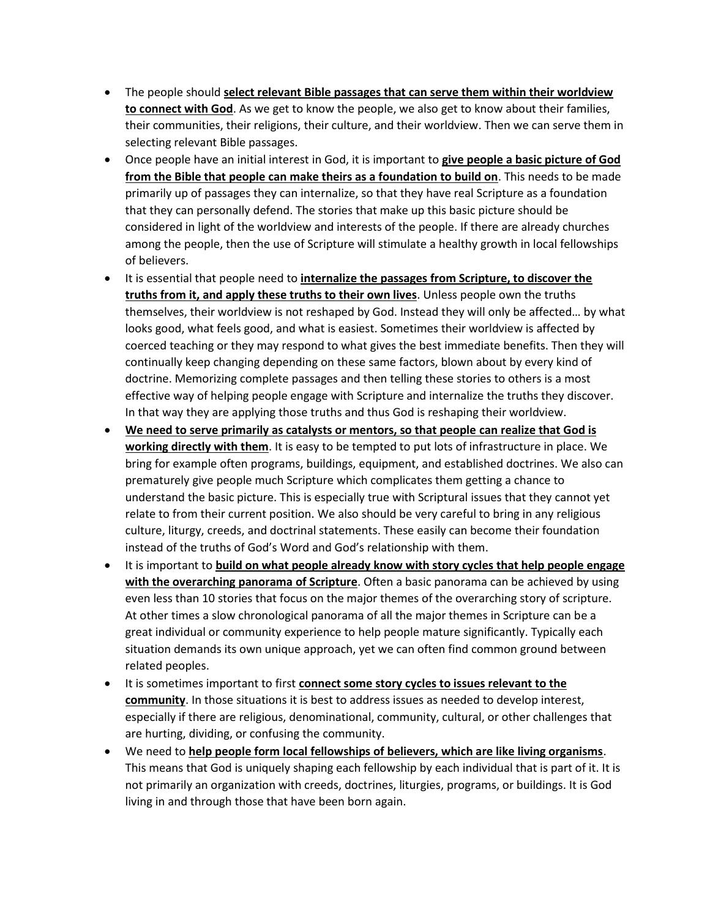- The people should **select relevant Bible passages that can serve them within their worldview to connect with God**. As we get to know the people, we also get to know about their families, their communities, their religions, their culture, and their worldview. Then we can serve them in selecting relevant Bible passages.
- Once people have an initial interest in God, it is important to **give people a basic picture of God from the Bible that people can make theirs as a foundation to build on**. This needs to be made primarily up of passages they can internalize, so that they have real Scripture as a foundation that they can personally defend. The stories that make up this basic picture should be considered in light of the worldview and interests of the people. If there are already churches among the people, then the use of Scripture will stimulate a healthy growth in local fellowships of believers.
- It is essential that people need to **internalize the passages from Scripture, to discover the truths from it, and apply these truths to their own lives**. Unless people own the truths themselves, their worldview is not reshaped by God. Instead they will only be affected… by what looks good, what feels good, and what is easiest. Sometimes their worldview is affected by coerced teaching or they may respond to what gives the best immediate benefits. Then they will continually keep changing depending on these same factors, blown about by every kind of doctrine. Memorizing complete passages and then telling these stories to others is a most effective way of helping people engage with Scripture and internalize the truths they discover. In that way they are applying those truths and thus God is reshaping their worldview.
- **We need to serve primarily as catalysts or mentors, so that people can realize that God is working directly with them**. It is easy to be tempted to put lots of infrastructure in place. We bring for example often programs, buildings, equipment, and established doctrines. We also can prematurely give people much Scripture which complicates them getting a chance to understand the basic picture. This is especially true with Scriptural issues that they cannot yet relate to from their current position. We also should be very careful to bring in any religious culture, liturgy, creeds, and doctrinal statements. These easily can become their foundation instead of the truths of God's Word and God's relationship with them.
- It is important to **build on what people already know with story cycles that help people engage with the overarching panorama of Scripture**. Often a basic panorama can be achieved by using even less than 10 stories that focus on the major themes of the overarching story of scripture. At other times a slow chronological panorama of all the major themes in Scripture can be a great individual or community experience to help people mature significantly. Typically each situation demands its own unique approach, yet we can often find common ground between related peoples.
- It is sometimes important to first **connect some story cycles to issues relevant to the community**. In those situations it is best to address issues as needed to develop interest, especially if there are religious, denominational, community, cultural, or other challenges that are hurting, dividing, or confusing the community.
- We need to **help people form local fellowships of believers, which are like living organisms**. This means that God is uniquely shaping each fellowship by each individual that is part of it. It is not primarily an organization with creeds, doctrines, liturgies, programs, or buildings. It is God living in and through those that have been born again.